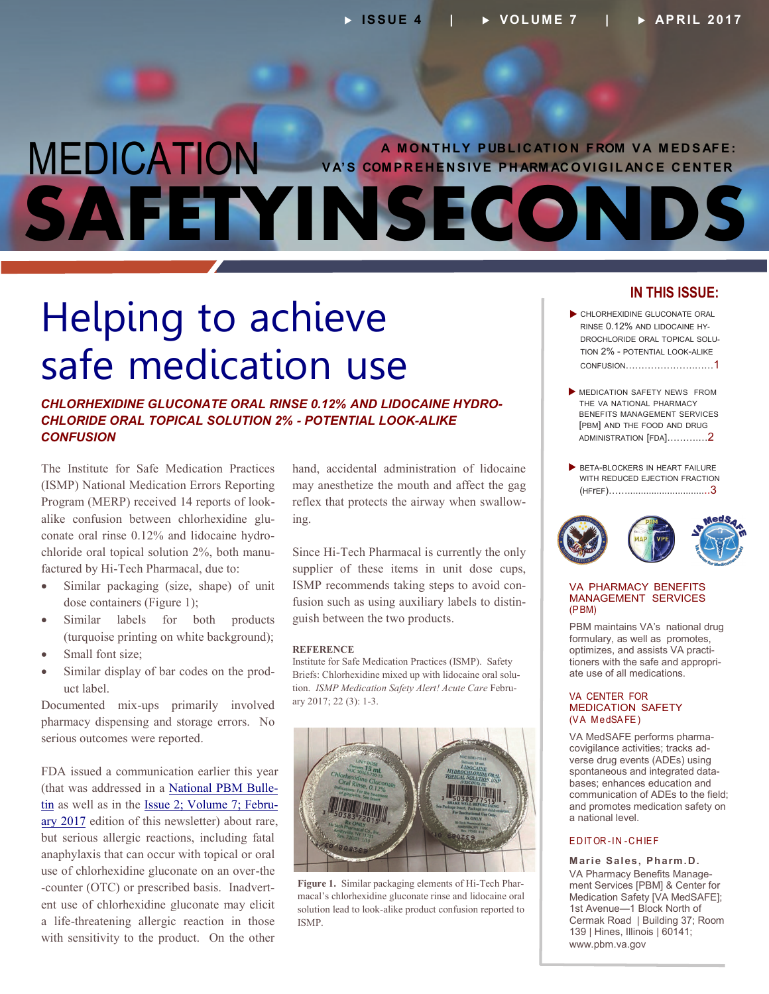### MEDICATION **SAFETYINSECONDS A M O NT HLY P UBL I C AT IO N F ROM V A M ED S AFE: V A'S COM PR E H EN SIVE P H ARM AC O VIG I L AN C E C ENT ER**

## Helping to achieve safe medication use

*CHLORHEXIDINE GLUCONATE ORAL RINSE 0.12% AND LIDOCAINE HYDRO-CHLORIDE ORAL TOPICAL SOLUTION 2% - POTENTIAL LOOK-ALIKE CONFUSION*

The Institute for Safe Medication Practices (ISMP) National Medication Errors Reporting Program (MERP) received 14 reports of lookalike confusion between chlorhexidine glu conate oral rinse 0.12% and lidocaine hydro chloride oral topical solution 2%, both manu factured by Hi-Tech Pharmacal, due to:

- Similar packaging (size, shape) of unit dose containers (Figure 1);
- Similar labels for both products (turquoise printing on white background);
- Small font size;
- Similar display of bar codes on the prod uct label.

Documented mix-ups primarily involved pharmacy dispensing and storage errors. No serious outcomes were reported.

FDA issued a communication earlier this year (that was addressed in a [National PBM Bulle](https://www.pbm.va.gov/PBM/vacenterformedicationsafety/nationalpbmbulletin/CHLORHEXIDINE%20GLUCONATE%20SAFETY_NATIONAL%20PBM%20BULLETIN_020717_FINAL_with%20disclaimer.pdf)[tin](https://www.pbm.va.gov/PBM/vacenterformedicationsafety/nationalpbmbulletin/CHLORHEXIDINE%20GLUCONATE%20SAFETY_NATIONAL%20PBM%20BULLETIN_020717_FINAL_with%20disclaimer.pdf) as well as in the [Issue 2; Volume 7; Febru](https://www.pbm.va.gov/PBM/vacenterformedicationsafety/newsletter/Medication_Safety_in_Seconds_February_2017_FINAL.PDF)[ary 2017](https://www.pbm.va.gov/PBM/vacenterformedicationsafety/newsletter/Medication_Safety_in_Seconds_February_2017_FINAL.PDF) edition of this newsletter) about rare, but serious allergic reactions, including fatal anaphylaxis that can occur with topical or oral use of chlorhexidine gluconate on an over-the -counter (OTC) or prescribed basis. Inadvertent use of chlorhexidine gluconate may elicit a life-threatening allergic reaction in those with sensitivity to the product. On the other

hand, accidental administration of lidocaine may anesthetize the mouth and affect the gag reflex that protects the airway when swallow ing.

Since Hi-Tech Pharmacal is currently the only supplier of these items in unit dose cups, ISMP recommends taking steps to avoid con fusion such as using auxiliary labels to distin guish between the two products.

#### **REFERENCE**

Institute for Safe Medication Practices (ISMP). Safety <sup>-</sup> Briefs: Chlorhexidine mixed up with lidocaine oral solution. *ISMP Medication Safety Alert! Acute Care* Febru ary 2017; 22 (3): 1-3.



**Figure 1.** Similar packaging elements of Hi-Tech Phar macal's chlorhexidine gluconate rinse and lidocaine oral solution lead to look-alike product confusion reported to ISMP.

### **IN THIS ISSUE:**

- CHLORHEXIDINE GLUCONATE ORAL RINSE 0.12% AND LIDOCAINE HY-DROCHLORIDE ORAL TOPICAL SOLU-TION 2% - POTENTIAL LOOK-ALIKE CONFUSION………………….……1
- **MEDICATION SAFETY NEWS FROM** THE VA NATIONAL PHARMACY BENEFITS MANAGEMENT SERVICES [PBM] AND THE FOOD AND DRUG [ADMINISTRATION](#page-1-0) [FDA]……….…2
- BETA-BLOCKERS IN HEART FAILURE WITH REDUCED EJECTION FRACTION (HFrEF[\)…….............................](#page-2-0)..3



### VA PHARMACY BENEFITS MANAGEMENT SERVICES (PBM)

optimizes, and assists VA practitioners with the safe and appropri-PBM maintains VA's national drug formulary, as well as promotes, ate use of all medications.

#### VA CENTER FOR MEDICATION SAFETY (VA MedSAFE)

- VA MedSAFE performs pharma - covigilance activities; tracks ad - spontaneous and integrated data verse drug events (ADEs) using bases; enhances education and communication of ADEs to the field; and promotes medication safety on a national level.

### EDITOR-IN -C HIEF

- VA Pharmacy Benefits Manage **Marie Sales, Pharm.D.** ment Services [PBM] & Center for Medication Safety [VA MedSAFE]; 1st Avenue—1 Block North of Cermak Road | Building 37; Room 139 | Hines, Illinois | 60141; [www.pbm.va.gov](http://www.pbm.va.gov)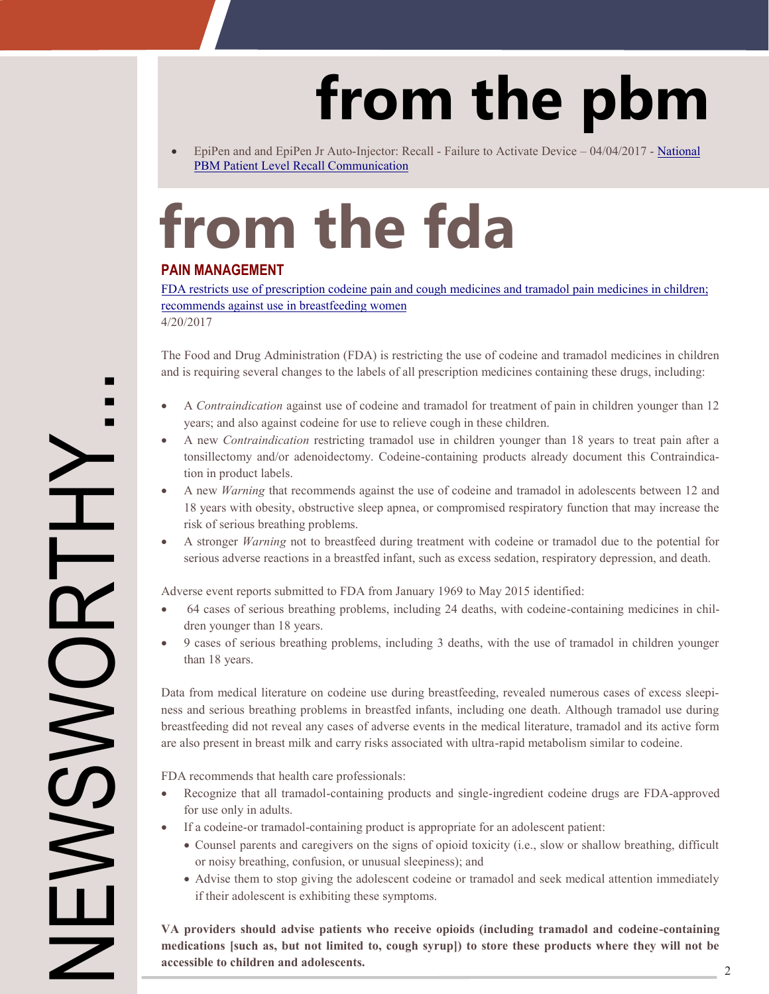# **from the pbm**

<span id="page-1-0"></span> EpiPen and and EpiPen Jr Auto-Injector: Recall - Failure to Activate Device – 04/04/2017 - [National](https://www.pbm.va.gov/PBM/vacenterformedicationsafety/alerts/EpiPenandEpiPenJrRecallduetoFailuretoActivateDevice_National.pdf) [PBM Patient Level Recall Communication](https://www.pbm.va.gov/PBM/vacenterformedicationsafety/alerts/EpiPenandEpiPenJrRecallduetoFailuretoActivateDevice_National.pdf)

# **from the fda**

### **PAIN MANAGEMENT**

[FDA restricts use of prescription codeine pain and cough medicines and tramadol pain medicines in children;](https://www.fda.gov/Drugs/DrugSafety/ucm549679.htm) [recommends against use in breastfeeding women](https://www.fda.gov/Drugs/DrugSafety/ucm549679.htm)

4/20/2017

The Food and Drug Administration (FDA) is restricting the use of codeine and tramadol medicines in children and is requiring several changes to the labels of all prescription medicines containing these drugs, including:

- A *Contraindication* against use of codeine and tramadol for treatment of pain in children younger than 12 years; and also against codeine for use to relieve cough in these children.
- A new *Contraindication* restricting tramadol use in children younger than 18 years to treat pain after a tonsillectomy and/or adenoidectomy. Codeine-containing products already document this Contraindication in product labels.
- A new *Warning* that recommends against the use of codeine and tramadol in adolescents between 12 and 18 years with obesity, obstructive sleep apnea, or compromised respiratory function that may increase the risk of serious breathing problems.
- A stronger *Warning* not to breastfeed during treatment with codeine or tramadol due to the potential for serious adverse reactions in a breastfed infant, such as excess sedation, respiratory depression, and death.

Adverse event reports submitted to FDA from January 1969 to May 2015 identified:

- 64 cases of serious breathing problems, including 24 deaths, with codeine-containing medicines in children younger than 18 years.
- 9 cases of serious breathing problems, including 3 deaths, with the use of tramadol in children younger than 18 years.

Data from medical literature on codeine use during breastfeeding, revealed numerous cases of excess sleepiness and serious breathing problems in breastfed infants, including one death. Although tramadol use during breastfeeding did not reveal any cases of adverse events in the medical literature, tramadol and its active form are also present in breast milk and carry risks associated with ultra-rapid metabolism similar to codeine.

FDA recommends that health care professionals:

- Recognize that all tramadol-containing products and single-ingredient codeine drugs are FDA-approved for use only in adults.
- If a codeine-or tramadol-containing product is appropriate for an adolescent patient:
	- Counsel parents and caregivers on the signs of opioid toxicity (i.e., slow or shallow breathing, difficult or noisy breathing, confusion, or unusual sleepiness); and
	- Advise them to stop giving the adolescent codeine or tramadol and seek medical attention immediately if their adolescent is exhibiting these symptoms.

**VA providers should advise patients who receive opioids (including tramadol and codeine-containing medications [such as, but not limited to, cough syrup]) to store these products where they will not be accessible to children and adolescents.**